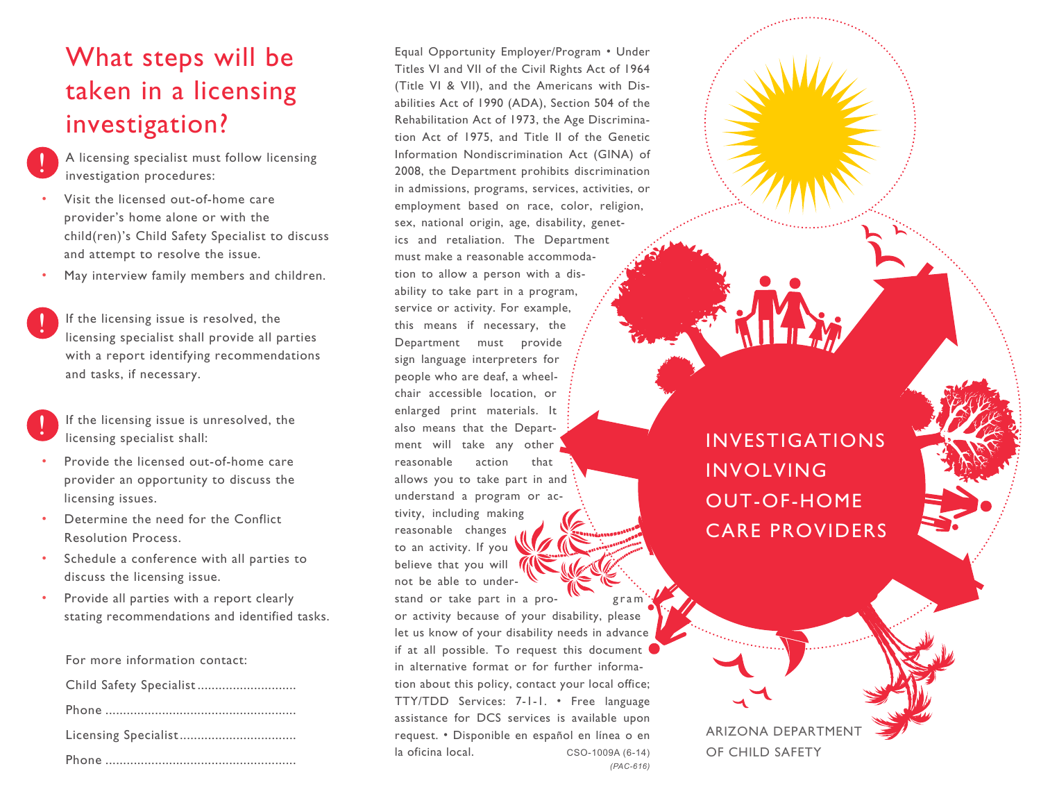# What steps will be taken in a licensing investigation?

- A licensing specialist must follow licensing investigation procedures: !
- Visit the licensed out-of-home care provider's home alone or with the child(ren)'s Child Safety Specialist to discuss and attempt to resolve the issue.
- May interview family members and children.
- If the licensing issue is resolved, the licensing specialist shall provide all parties with a report identifying recommendations and tasks, if necessary. !

|  | If the licensing issue is unresolved, the |  |
|--|-------------------------------------------|--|
|  | licensing specialist shall:               |  |

- Provide the licensed out-of-home care provider an opportunity to discuss the licensing issues.
- Determine the need for the Conflict Resolution Process.
- Schedule a conference with all parties to discuss the licensing issue.
- Provide all parties with a report clearly stating recommendations and identified tasks.

For more information contact:

Equal Opportunity Employer/Program • Under Titles VI and VII of the Civil Rights Act of 1964 (Title VI & VII), and the Americans with Disabilities Act of 1990 (ADA), Section 504 of the Rehabilitation Act of 1973, the Age Discrimination Act of 1975, and Title II of the Genetic Information Nondiscrimination Act (GINA) of 2008, the Department prohibits discrimination in admissions, programs, services, activities, or employment based on race, color, religion, sex, national origin, age, disability, genetics and retaliation. The Department must make a reasonable accommodation to allow a person with a disability to take part in a program, service or activity. For example, this means if necessary, the Department must provide sign language interpreters for people who are deaf, a wheelchair accessible location, or enlarged print materials. It also means that the Department will take any other reasonable action that allows you to take part in and understand a program or activity, including making reasonable changes to an activity. If you believe that you will not be able to understand or take part in a pro- $\mathbf{w}$  gram or activity because of your disability, please let us know of your disability needs in advance if at all possible. To request this document in alternative format or for further information about this policy, contact your local office; TTY/TDD Services: 7-1-1. • Free language assistance for DCS services is available upon request. • Disponible en español en línea o en la oficina local. CSO-1009A (6-14) *(PAC-616)*

INVESTIGATIONS INVOLVING OUT-OF-HOME CARE PROVIDERS

ARIZONA DEPARTMENT OF CHILD SAFETY